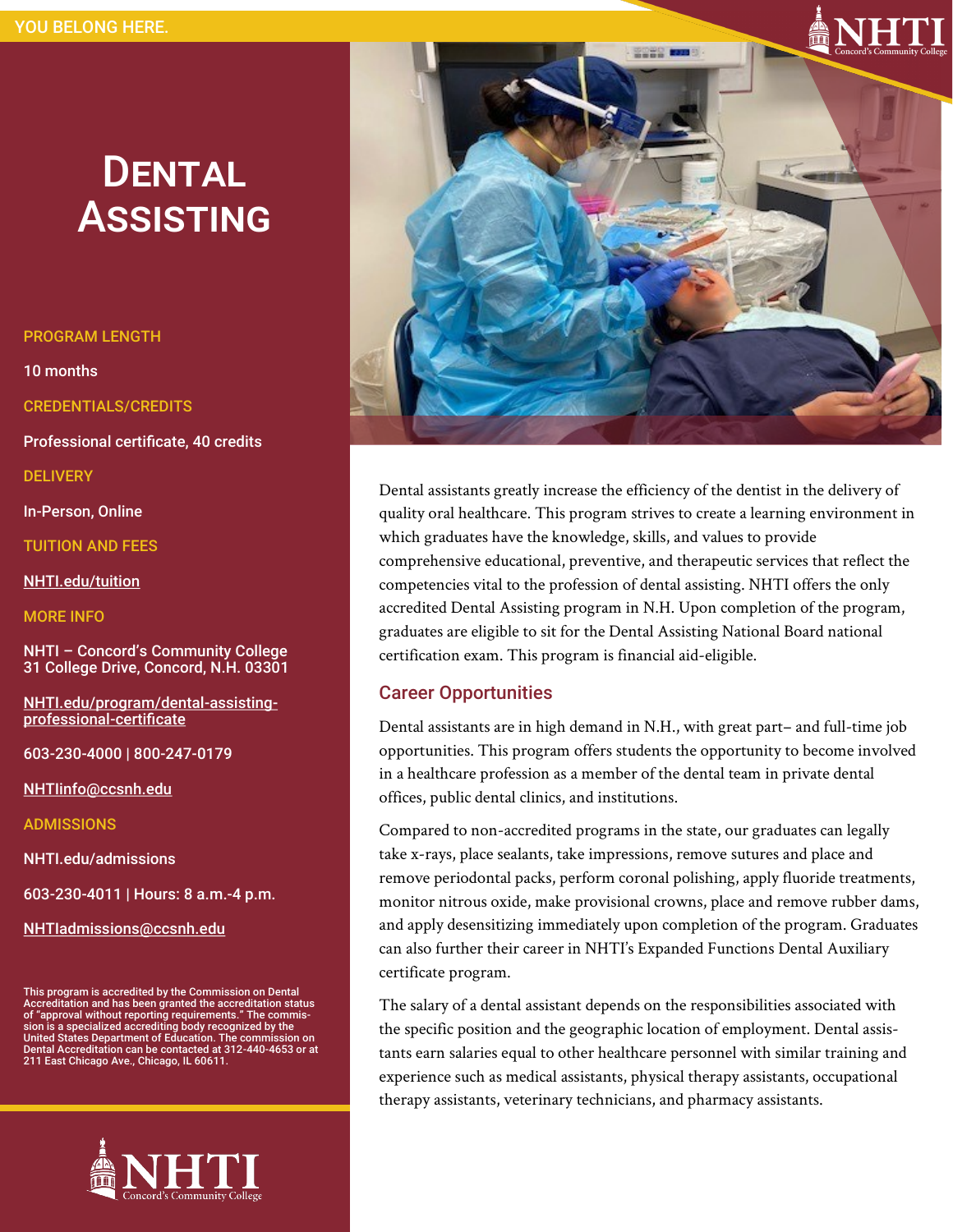# **DENTAL ASSISTING**

#### PROGRAM LENGTH

10 months

CREDENTIALS/CREDITS

Professional certificate, 40 credits

**DELIVERY** 

In-Person, Online

TUITION AND FEES

[NHTI.edu/tuition](http://www.NHTI.edu/tuition)

MORE INFO

NHTI – Concord's Community College 31 College Drive, Concord, N.H. 03301

[NHTI.edu/program/dental](https://www.nhti.edu/program/dental-assisting-professional-certificate/)-assisting[professional](https://www.nhti.edu/program/dental-assisting-professional-certificate/)-certificate

603-230-4000 | 800-247-0179

[NHTIinfo@ccsnh.edu](mailto:NHTIinfo@ccsnh.edu)

ADMISSIONS

NHTI.edu/admissions

603-230-4011 | Hours: 8 a.m.-4 p.m.

[NHTIadmissions@ccsnh.edu](mailto:NHTIadmissions@ccsnh.edu)

This program is accredited by the Commission on Dental<br>Accreditation and has been granted the accreditation status<br>of "approval without reporting requirements." The commis-<br>sion is a specialized accrediting body recognized United States Department of Education. The commission on Dental Accreditation can be contacted at 312-440-4653 or at 211 East Chicago Ave., Chicago, IL 60611.





Dental assistants greatly increase the efficiency of the dentist in the delivery of quality oral healthcare. This program strives to create a learning environment in which graduates have the knowledge, skills, and values to provide comprehensive educational, preventive, and therapeutic services that reflect the competencies vital to the profession of dental assisting. NHTI offers the only accredited Dental Assisting program in N.H. Upon completion of the program, graduates are eligible to sit for the Dental Assisting National Board national certification exam. This program is financial aid-eligible.

### Career Opportunities

Dental assistants are in high demand in N.H., with great part– and full-time job opportunities. This program offers students the opportunity to become involved in a healthcare profession as a member of the dental team in private dental offices, public dental clinics, and institutions.

Compared to non-accredited programs in the state, our graduates can legally take x-rays, place sealants, take impressions, remove sutures and place and remove periodontal packs, perform coronal polishing, apply fluoride treatments, monitor nitrous oxide, make provisional crowns, place and remove rubber dams, and apply desensitizing immediately upon completion of the program. Graduates can also further their career in NHTI's Expanded Functions Dental Auxiliary certificate program.

The salary of a dental assistant depends on the responsibilities associated with the specific position and the geographic location of employment. Dental assistants earn salaries equal to other healthcare personnel with similar training and experience such as medical assistants, physical therapy assistants, occupational therapy assistants, veterinary technicians, and pharmacy assistants.